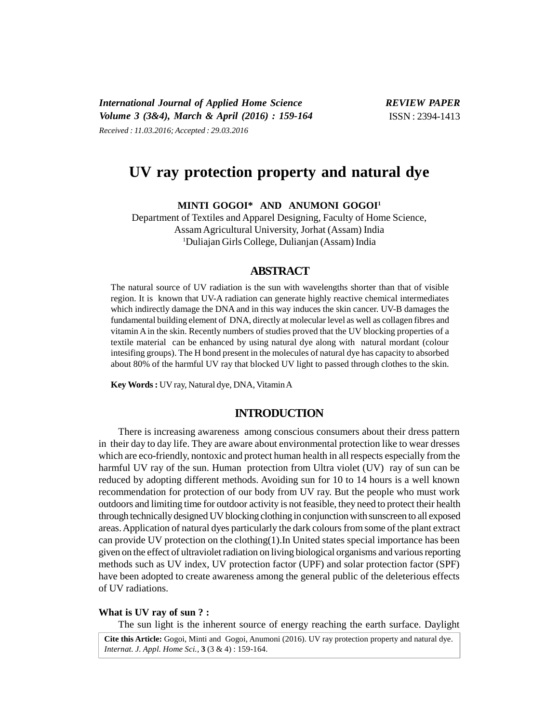# **UV ray protection property and natural dye**

**MINTI GOGOI\* AND ANUMONI GOGOI<sup>1</sup>**

Department of Textiles and Apparel Designing, Faculty of Home Science, Assam Agricultural University, Jorhat (Assam) India <sup>1</sup>Duliajan Girls College, Dulianjan (Assam) India

## **ABSTRACT**

The natural source of UV radiation is the sun with wavelengths shorter than that of visible region. It is known that UV-A radiation can generate highly reactive chemical intermediates which indirectly damage the DNA and in this way induces the skin cancer. UV-B damages the fundamental building element of DNA, directly at molecular level as well as collagen fibres and vitamin A in the skin. Recently numbers of studies proved that the UV blocking properties of a textile material can be enhanced by using natural dye along with natural mordant (colour intesifing groups). The H bond present in the molecules of natural dye has capacity to absorbed about 80% of the harmful UV ray that blocked UV light to passed through clothes to the skin.

**Key Words :** UV ray, Natural dye, DNA, Vitamin A

# **INTRODUCTION**

There is increasing awareness among conscious consumers about their dress pattern in their day to day life. They are aware about environmental protection like to wear dresses which are eco-friendly, nontoxic and protect human health in all respects especially from the harmful UV ray of the sun. Human protection from Ultra violet (UV) ray of sun can be reduced by adopting different methods. Avoiding sun for 10 to 14 hours is a well known recommendation for protection of our body from UV ray. But the people who must work outdoors and limiting time for outdoor activity is not feasible, they need to protect their health through technically designed UV blocking clothing in conjunction with sunscreen to all exposed areas. Application of natural dyes particularly the dark colours from some of the plant extract can provide UV protection on the clothing(1).In United states special importance has been given on the effect of ultraviolet radiation on living biological organisms and various reporting methods such as UV index, UV protection factor (UPF) and solar protection factor (SPF) have been adopted to create awareness among the general public of the deleterious effects of UV radiations.

## **What is UV ray of sun ? :**

The sun light is the inherent source of energy reaching the earth surface. Daylight

**Cite this Article:** Gogoi, Minti and Gogoi, Anumoni (2016). UV ray protection property and natural dye. *Internat. J. Appl. Home Sci.,* **3** (3 & 4) : 159-164.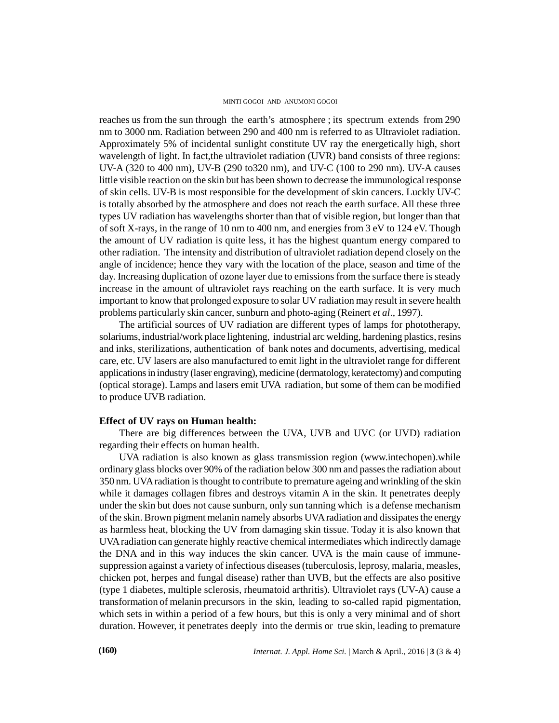#### MINTI GOGOI AND ANUMONI GOGOI

reaches us from the sun through the earth's atmosphere ; its spectrum extends from 290 nm to 3000 nm. Radiation between 290 and 400 nm is referred to as Ultraviolet radiation. Approximately 5% of incidental sunlight constitute UV ray the energetically high, short wavelength of light. In fact, the ultraviolet radiation (UVR) band consists of three regions: UV-A (320 to 400 nm), UV-B (290 to320 nm), and UV-C (100 to 290 nm). UV-A causes little visible reaction on the skin but has been shown to decrease the immunological response of skin cells. UV-B is most responsible for the development of skin cancers. Luckly UV-C is totally absorbed by the atmosphere and does not reach the earth surface. All these three types UV radiation has wavelengths shorter than that of visible region, but longer than that of soft X-rays, in the range of 10 nm to 400 nm, and energies from 3 eV to 124 eV. Though the amount of UV radiation is quite less, it has the highest quantum energy compared to other radiation. The intensity and distribution of ultraviolet radiation depend closely on the angle of incidence; hence they vary with the location of the place, season and time of the day. Increasing duplication of ozone layer due to emissions from the surface there is steady increase in the amount of ultraviolet rays reaching on the earth surface. It is very much important to know that prolonged exposure to solar UV radiation may result in severe health problems particularly skin cancer, sunburn and photo-aging (Reinert *et al*., 1997).

The artificial sources of UV radiation are different types of lamps for phototherapy, solariums, industrial/work place lightening, industrial arc welding, hardening plastics, resins and inks, sterilizations, authentication of bank notes and documents, advertising, medical care, etc. UV lasers are also manufactured to emit light in the ultraviolet range for different applications in industry (laser engraving), medicine (dermatology, keratectomy) and computing (optical storage). Lamps and lasers emit UVA radiation, but some of them can be modified to produce UVB radiation.

## **Effect of UV rays on Human health:**

There are big differences between the UVA, UVB and UVC (or UVD) radiation regarding their effects on human health.

UVA radiation is also known as glass transmission region (www.intechopen).while ordinary glass blocks over 90% of the radiation below 300 nm and passes the radiation about 350 nm. UVA radiation is thought to contribute to premature ageing and wrinkling of the skin while it damages collagen fibres and destroys vitamin A in the skin. It penetrates deeply under the skin but does not cause sunburn, only sun tanning which is a defense mechanism of the skin. Brown pigment melanin namely absorbs UVA radiation and dissipates the energy as harmless heat, blocking the UV from damaging skin tissue. Today it is also known that UVA radiation can generate highly reactive chemical intermediates which indirectly damage the DNA and in this way induces the skin cancer. UVA is the main cause of immunesuppression against a variety of infectious diseases (tuberculosis, leprosy, malaria, measles, chicken pot, herpes and fungal disease) rather than UVB, but the effects are also positive (type 1 diabetes, multiple sclerosis, rheumatoid arthritis). Ultraviolet rays (UV-A) cause a transformation of melanin precursors in the skin, leading to so-called rapid pigmentation, which sets in within a period of a few hours, but this is only a very minimal and of short duration. However, it penetrates deeply into the dermis or true skin, leading to premature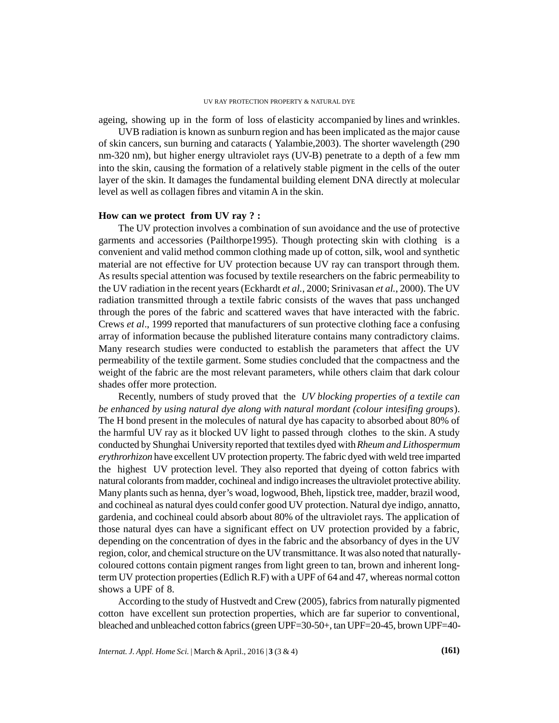ageing, showing up in the form of loss of elasticity accompanied by lines and wrinkles.

UVB radiation is known as sunburn region and has been implicated as the major cause of skin cancers, sun burning and cataracts ( Yalambie,2003). The shorter wavelength (290 nm-320 nm), but higher energy ultraviolet rays (UV-B) penetrate to a depth of a few mm into the skin, causing the formation of a relatively stable pigment in the cells of the outer layer of the skin. It damages the fundamental building element DNA directly at molecular level as well as collagen fibres and vitamin A in the skin.

#### **How can we protect from UV ray ? :**

The UV protection involves a combination of sun avoidance and the use of protective garments and accessories (Pailthorpe1995). Though protecting skin with clothing is a convenient and valid method common clothing made up of cotton, silk, wool and synthetic material are not effective for UV protection because UV ray can transport through them. As results special attention was focused by textile researchers on the fabric permeability to the UV radiation in the recent years (Eckhardt *et al.*, 2000; Srinivasan *et al.*, 2000). The UV radiation transmitted through a textile fabric consists of the waves that pass unchanged through the pores of the fabric and scattered waves that have interacted with the fabric. Crews *et al*., 1999 reported that manufacturers of sun protective clothing face a confusing array of information because the published literature contains many contradictory claims. Many research studies were conducted to establish the parameters that affect the UV permeability of the textile garment. Some studies concluded that the compactness and the weight of the fabric are the most relevant parameters, while others claim that dark colour shades offer more protection.

Recently, numbers of study proved that the *UV blocking properties of a textile can be enhanced by using natural dye along with natural mordant (colour intesifing groups*). The H bond present in the molecules of natural dye has capacity to absorbed about 80% of the harmful UV ray as it blocked UV light to passed through clothes to the skin. A study conducted by Shunghai University reported that textiles dyed with*Rheum and Lithospermum erythrorhizon* have excellent UV protection property. The fabric dyed with weld tree imparted the highest UV protection level. They also reported that dyeing of cotton fabrics with natural colorants from madder, cochineal and indigo increases the ultraviolet protective ability. Many plants such as henna, dyer's woad, logwood, Bheh, lipstick tree, madder, brazil wood, and cochineal as natural dyes could confer good UV protection. Natural dye indigo, annatto, gardenia, and cochineal could absorb about 80% of the ultraviolet rays. The application of those natural dyes can have a significant effect on UV protection provided by a fabric, depending on the concentration of dyes in the fabric and the absorbancy of dyes in the UV region, color, and chemical structure on the UV transmittance. It was also noted that naturallycoloured cottons contain pigment ranges from light green to tan, brown and inherent longterm UV protection properties (Edlich R.F) with a UPF of 64 and 47, whereas normal cotton shows a UPF of 8.

According to the study of Hustvedt and Crew (2005), fabrics from naturally pigmented cotton have excellent sun protection properties, which are far superior to conventional, bleached and unbleached cotton fabrics (green UPF=30-50+, tan UPF=20-45, brown UPF=40-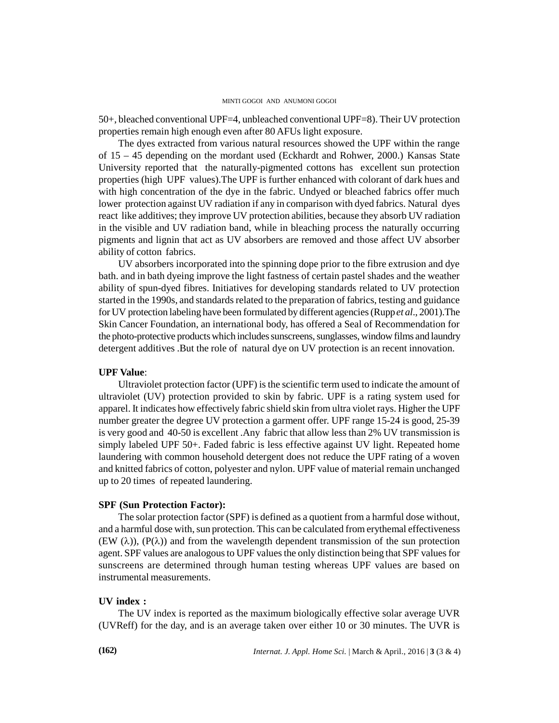#### MINTI GOGOI AND ANUMONI GOGOI

50+, bleached conventional UPF=4, unbleached conventional UPF=8). Their UV protection properties remain high enough even after 80 AFUs light exposure.

The dyes extracted from various natural resources showed the UPF within the range of 15 – 45 depending on the mordant used (Eckhardt and Rohwer, 2000.) Kansas State University reported that the naturally-pigmented cottons has excellent sun protection properties (high UPF values).The UPF is further enhanced with colorant of dark hues and with high concentration of the dye in the fabric. Undyed or bleached fabrics offer much lower protection against UV radiation if any in comparison with dyed fabrics. Natural dyes react like additives; they improve UV protection abilities, because they absorb UV radiation in the visible and UV radiation band, while in bleaching process the naturally occurring pigments and lignin that act as UV absorbers are removed and those affect UV absorber ability of cotton fabrics.

UV absorbers incorporated into the spinning dope prior to the fibre extrusion and dye bath. and in bath dyeing improve the light fastness of certain pastel shades and the weather ability of spun-dyed fibres. Initiatives for developing standards related to UV protection started in the 1990s, and standards related to the preparation of fabrics, testing and guidance for UV protection labeling have been formulated by different agencies (Rupp*et al*., 2001).The Skin Cancer Foundation, an international body, has offered a Seal of Recommendation for the photo-protective products which includes sunscreens, sunglasses, window films and laundry detergent additives .But the role of natural dye on UV protection is an recent innovation.

## **UPF Value**:

Ultraviolet protection factor (UPF) is the scientific term used to indicate the amount of ultraviolet (UV) protection provided to skin by fabric. UPF is a rating system used for apparel. It indicates how effectively fabric shield skin from ultra violet rays. Higher the UPF number greater the degree UV protection a garment offer. UPF range 15-24 is good, 25-39 is very good and 40-50 is excellent .Any fabric that allow less than 2% UV transmission is simply labeled UPF 50+. Faded fabric is less effective against UV light. Repeated home laundering with common household detergent does not reduce the UPF rating of a woven and knitted fabrics of cotton, polyester and nylon. UPF value of material remain unchanged up to 20 times of repeated laundering.

#### **SPF (Sun Protection Factor):**

The solar protection factor (SPF) is defined as a quotient from a harmful dose without, and a harmful dose with, sun protection. This can be calculated from erythemal effectiveness  $(EW (\lambda))$ ,  $(P(\lambda))$  and from the wavelength dependent transmission of the sun protection agent. SPF values are analogous to UPF values the only distinction being that SPF values for sunscreens are determined through human testing whereas UPF values are based on instrumental measurements.

## **UV index :**

The UV index is reported as the maximum biologically effective solar average UVR (UVReff) for the day, and is an average taken over either 10 or 30 minutes. The UVR is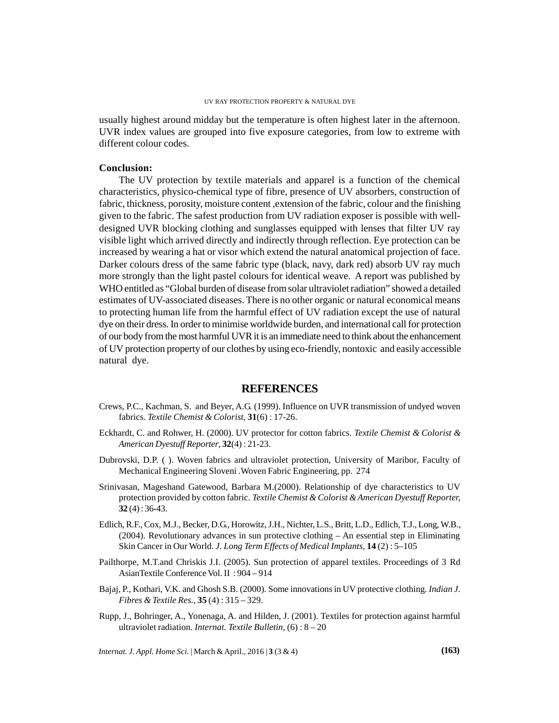#### UV RAY PROTECTION PROPERTY & NATURAL DYE

usually highest around midday but the temperature is often highest later in the afternoon. UVR index values are grouped into five exposure categories, from low to extreme with different colour codes.

## **Conclusion:**

The UV protection by textile materials and apparel is a function of the chemical characteristics, physico-chemical type of fibre, presence of UV absorbers, construction of fabric, thickness, porosity, moisture content, extension of the fabric, colour and the finishing given to the fabric. The safest production from UV radiation exposer is possible with welldesigned UVR blocking clothing and sunglasses equipped with lenses that filter UV ray visible light which arrived directly and indirectly through reflection. Eye protection can be increased by wearing a hat or visor which extend the natural anatomical projection of face. Darker colours dress of the same fabric type (black, navy, dark red) absorb UV ray much more strongly than the light pastel colours for identical weave. A report was published by WHO entitled as "Global burden of disease from solar ultraviolet radiation" showed a detailed estimates of UV-associated diseases. There is no other organic or natural economical means to protecting human life from the harmful effect of UV radiation except the use of natural dye on their dress. In order to minimise worldwide burden, and international call for protection of our body from the most harmful UVR it is an immediate need to think about the enhancement of UV protection property of our clothes by using eco-friendly, nontoxic and easily accessible natural dye.

## **REFERENCES**

- Crews, P.C., Kachman, S. and Beyer, A.G. (1999). Influence on UVR transmission of undyed woven fabrics. *Textile Chemist & Colorist*, **31**(6) : 17-26.
- Eckhardt, C. and Rohwer, H. (2000). UV protector for cotton fabrics. *Textile Chemist & Colorist & American Dyestuff Reporter*, **32**(4) : 21-23.
- Dubrovski, D.P. ( ). Woven fabrics and ultraviolet protection, University of Maribor, Faculty of Mechanical Engineering Sloveni .Woven Fabric Engineering, pp. 274
- Srinivasan, Mageshand Gatewood, Barbara M.(2000). Relationship of dye characteristics to UV protection provided by cotton fabric. *Textile Chemist & Colorist & American Dyestuff Reporter,* **32** (4) : 36-43.
- Edlich, R.F., Cox, M.J., Becker, D.G., Horowitz, J.H., Nichter, L.S., Britt, L.D., Edlich, T.J., Long, W.B., (2004). Revolutionary advances in sun protective clothing – An essential step in Eliminating Skin Cancer in Our World. *J. Long Term Effects of Medical Implants,* **14** (2) : 5–105
- Pailthorpe, M.T.and Chriskis J.I. (2005). Sun protection of apparel textiles. Proceedings of 3 Rd AsianTextile Conference Vol. II : 904 – 914
- Bajaj, P., Kothari, V.K. and Ghosh S.B. (2000). Some innovations in UV protective clothing. *Indian J. Fibres & Textile Res.,* **35** (4) : 315 – 329.
- Rupp, J., Bohringer, A., Yonenaga, A. and Hilden, J. (2001). Textiles for protection against harmful ultraviolet radiation. *Internat. Textile Bulletin,* (6) : 8 – 20

*Internat. J. Appl. Home Sci.* |March & April., 2016 | **3** (3 & 4) **(163)**